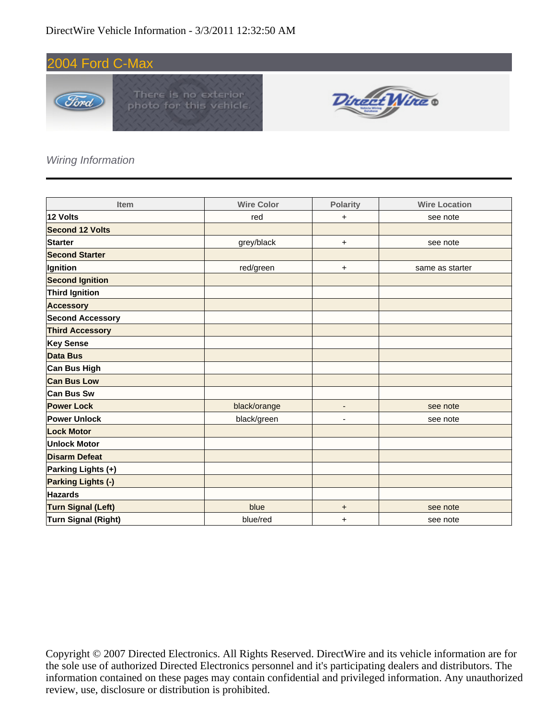

#### Wiring Information

| <b>Item</b>                | <b>Wire Color</b> | <b>Polarity</b>          | <b>Wire Location</b> |
|----------------------------|-------------------|--------------------------|----------------------|
| 12 Volts                   | red               | $\ddot{}$                | see note             |
| <b>Second 12 Volts</b>     |                   |                          |                      |
| <b>Starter</b>             | grey/black        | $\ddot{}$                | see note             |
| <b>Second Starter</b>      |                   |                          |                      |
| Ignition                   | red/green         | $\ddot{}$                | same as starter      |
| <b>Second Ignition</b>     |                   |                          |                      |
| <b>Third Ignition</b>      |                   |                          |                      |
| <b>Accessory</b>           |                   |                          |                      |
| <b>Second Accessory</b>    |                   |                          |                      |
| <b>Third Accessory</b>     |                   |                          |                      |
| <b>Key Sense</b>           |                   |                          |                      |
| <b>Data Bus</b>            |                   |                          |                      |
| <b>Can Bus High</b>        |                   |                          |                      |
| <b>Can Bus Low</b>         |                   |                          |                      |
| <b>Can Bus Sw</b>          |                   |                          |                      |
| <b>Power Lock</b>          | black/orange      | $\overline{\phantom{m}}$ | see note             |
| <b>Power Unlock</b>        | black/green       | ۰                        | see note             |
| <b>Lock Motor</b>          |                   |                          |                      |
| <b>Unlock Motor</b>        |                   |                          |                      |
| <b>Disarm Defeat</b>       |                   |                          |                      |
| Parking Lights (+)         |                   |                          |                      |
| <b>Parking Lights (-)</b>  |                   |                          |                      |
| <b>Hazards</b>             |                   |                          |                      |
| <b>Turn Signal (Left)</b>  | blue              | $\ddot{}$                | see note             |
| <b>Turn Signal (Right)</b> | blue/red          | $\ddot{}$                | see note             |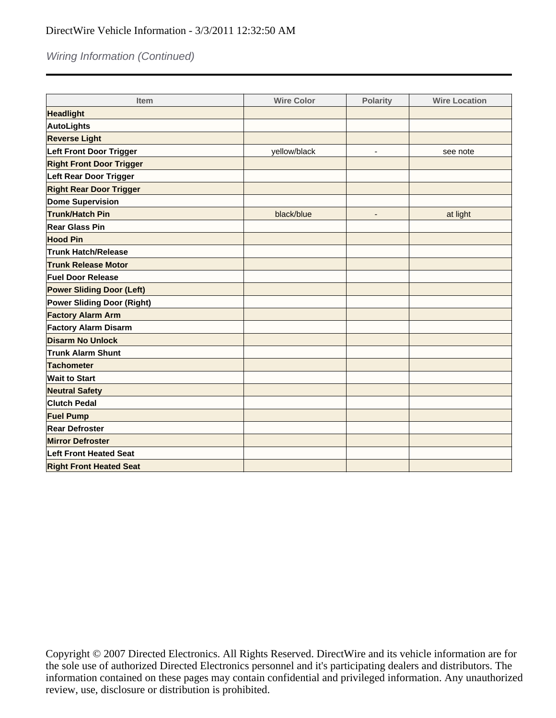## Wiring Information (Continued)

| <b>Item</b>                       | <b>Wire Color</b> | <b>Polarity</b>          | <b>Wire Location</b> |
|-----------------------------------|-------------------|--------------------------|----------------------|
| <b>Headlight</b>                  |                   |                          |                      |
| <b>AutoLights</b>                 |                   |                          |                      |
| <b>Reverse Light</b>              |                   |                          |                      |
| <b>Left Front Door Trigger</b>    | yellow/black      |                          | see note             |
| <b>Right Front Door Trigger</b>   |                   |                          |                      |
| Left Rear Door Trigger            |                   |                          |                      |
| <b>Right Rear Door Trigger</b>    |                   |                          |                      |
| Dome Supervision                  |                   |                          |                      |
| <b>Trunk/Hatch Pin</b>            | black/blue        | $\overline{\phantom{a}}$ | at light             |
| <b>Rear Glass Pin</b>             |                   |                          |                      |
| <b>Hood Pin</b>                   |                   |                          |                      |
| <b>Trunk Hatch/Release</b>        |                   |                          |                      |
| <b>Trunk Release Motor</b>        |                   |                          |                      |
| <b>Fuel Door Release</b>          |                   |                          |                      |
| <b>Power Sliding Door (Left)</b>  |                   |                          |                      |
| <b>Power Sliding Door (Right)</b> |                   |                          |                      |
| <b>Factory Alarm Arm</b>          |                   |                          |                      |
| <b>Factory Alarm Disarm</b>       |                   |                          |                      |
| <b>Disarm No Unlock</b>           |                   |                          |                      |
| <b>Trunk Alarm Shunt</b>          |                   |                          |                      |
| <b>Tachometer</b>                 |                   |                          |                      |
| <b>Wait to Start</b>              |                   |                          |                      |
| <b>Neutral Safety</b>             |                   |                          |                      |
| <b>Clutch Pedal</b>               |                   |                          |                      |
| <b>Fuel Pump</b>                  |                   |                          |                      |
| <b>Rear Defroster</b>             |                   |                          |                      |
| <b>Mirror Defroster</b>           |                   |                          |                      |
| <b>Left Front Heated Seat</b>     |                   |                          |                      |
| <b>Right Front Heated Seat</b>    |                   |                          |                      |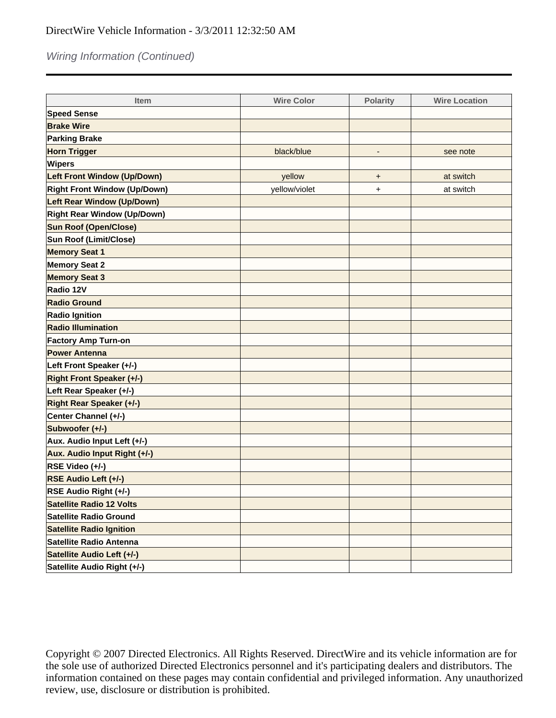## Wiring Information (Continued)

| <b>Item</b>                         | <b>Wire Color</b> | <b>Polarity</b> | <b>Wire Location</b> |
|-------------------------------------|-------------------|-----------------|----------------------|
| <b>Speed Sense</b>                  |                   |                 |                      |
| <b>Brake Wire</b>                   |                   |                 |                      |
| <b>Parking Brake</b>                |                   |                 |                      |
| <b>Horn Trigger</b>                 | black/blue        | -               | see note             |
| <b>Wipers</b>                       |                   |                 |                      |
| <b>Left Front Window (Up/Down)</b>  | yellow            | $\pm$           | at switch            |
| <b>Right Front Window (Up/Down)</b> | yellow/violet     | $\ddot{}$       | at switch            |
| Left Rear Window (Up/Down)          |                   |                 |                      |
| <b>Right Rear Window (Up/Down)</b>  |                   |                 |                      |
| <b>Sun Roof (Open/Close)</b>        |                   |                 |                      |
| <b>Sun Roof (Limit/Close)</b>       |                   |                 |                      |
| <b>Memory Seat 1</b>                |                   |                 |                      |
| <b>Memory Seat 2</b>                |                   |                 |                      |
| <b>Memory Seat 3</b>                |                   |                 |                      |
| Radio 12V                           |                   |                 |                      |
| <b>Radio Ground</b>                 |                   |                 |                      |
| <b>Radio Ignition</b>               |                   |                 |                      |
| <b>Radio Illumination</b>           |                   |                 |                      |
| <b>Factory Amp Turn-on</b>          |                   |                 |                      |
| <b>Power Antenna</b>                |                   |                 |                      |
| Left Front Speaker (+/-)            |                   |                 |                      |
| Right Front Speaker (+/-)           |                   |                 |                      |
| Left Rear Speaker (+/-)             |                   |                 |                      |
| Right Rear Speaker (+/-)            |                   |                 |                      |
| Center Channel (+/-)                |                   |                 |                      |
| Subwoofer (+/-)                     |                   |                 |                      |
| Aux. Audio Input Left (+/-)         |                   |                 |                      |
| Aux. Audio Input Right (+/-)        |                   |                 |                      |
| RSE Video (+/-)                     |                   |                 |                      |
| RSE Audio Left (+/-)                |                   |                 |                      |
| RSE Audio Right (+/-)               |                   |                 |                      |
| <b>Satellite Radio 12 Volts</b>     |                   |                 |                      |
| <b>Satellite Radio Ground</b>       |                   |                 |                      |
| <b>Satellite Radio Ignition</b>     |                   |                 |                      |
| Satellite Radio Antenna             |                   |                 |                      |
| Satellite Audio Left (+/-)          |                   |                 |                      |
| Satellite Audio Right (+/-)         |                   |                 |                      |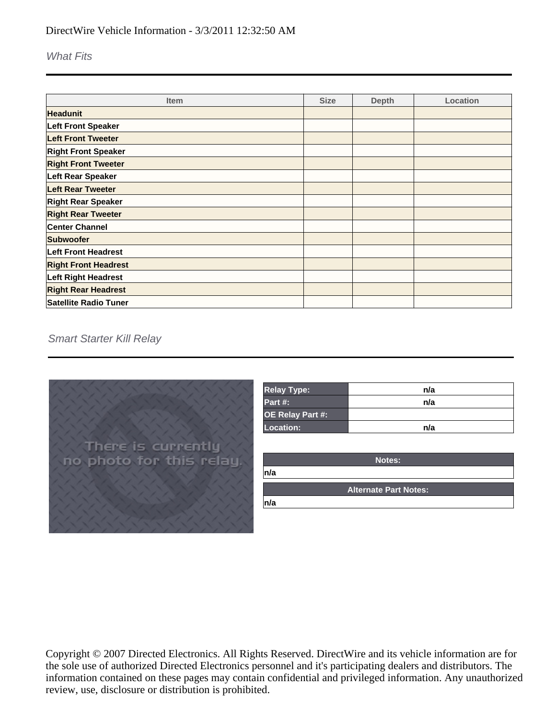### DirectWire Vehicle Information - 3/3/2011 12:32:50 AM

What Fits

| <b>Item</b>                  | <b>Size</b> | <b>Depth</b> | Location |
|------------------------------|-------------|--------------|----------|
| <b>Headunit</b>              |             |              |          |
| <b>Left Front Speaker</b>    |             |              |          |
| <b>Left Front Tweeter</b>    |             |              |          |
| <b>Right Front Speaker</b>   |             |              |          |
| <b>Right Front Tweeter</b>   |             |              |          |
| Left Rear Speaker            |             |              |          |
| <b>Left Rear Tweeter</b>     |             |              |          |
| <b>Right Rear Speaker</b>    |             |              |          |
| <b>Right Rear Tweeter</b>    |             |              |          |
| <b>Center Channel</b>        |             |              |          |
| <b>Subwoofer</b>             |             |              |          |
| <b>Left Front Headrest</b>   |             |              |          |
| <b>Right Front Headrest</b>  |             |              |          |
| Left Right Headrest          |             |              |          |
| <b>Right Rear Headrest</b>   |             |              |          |
| <b>Satellite Radio Tuner</b> |             |              |          |

## Smart Starter Kill Relay

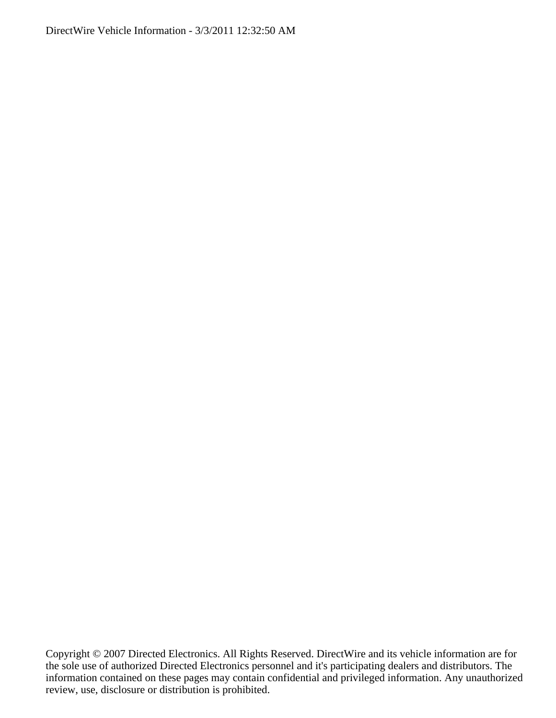DirectWire Vehicle Information - 3/3/2011 12:32:50 AM